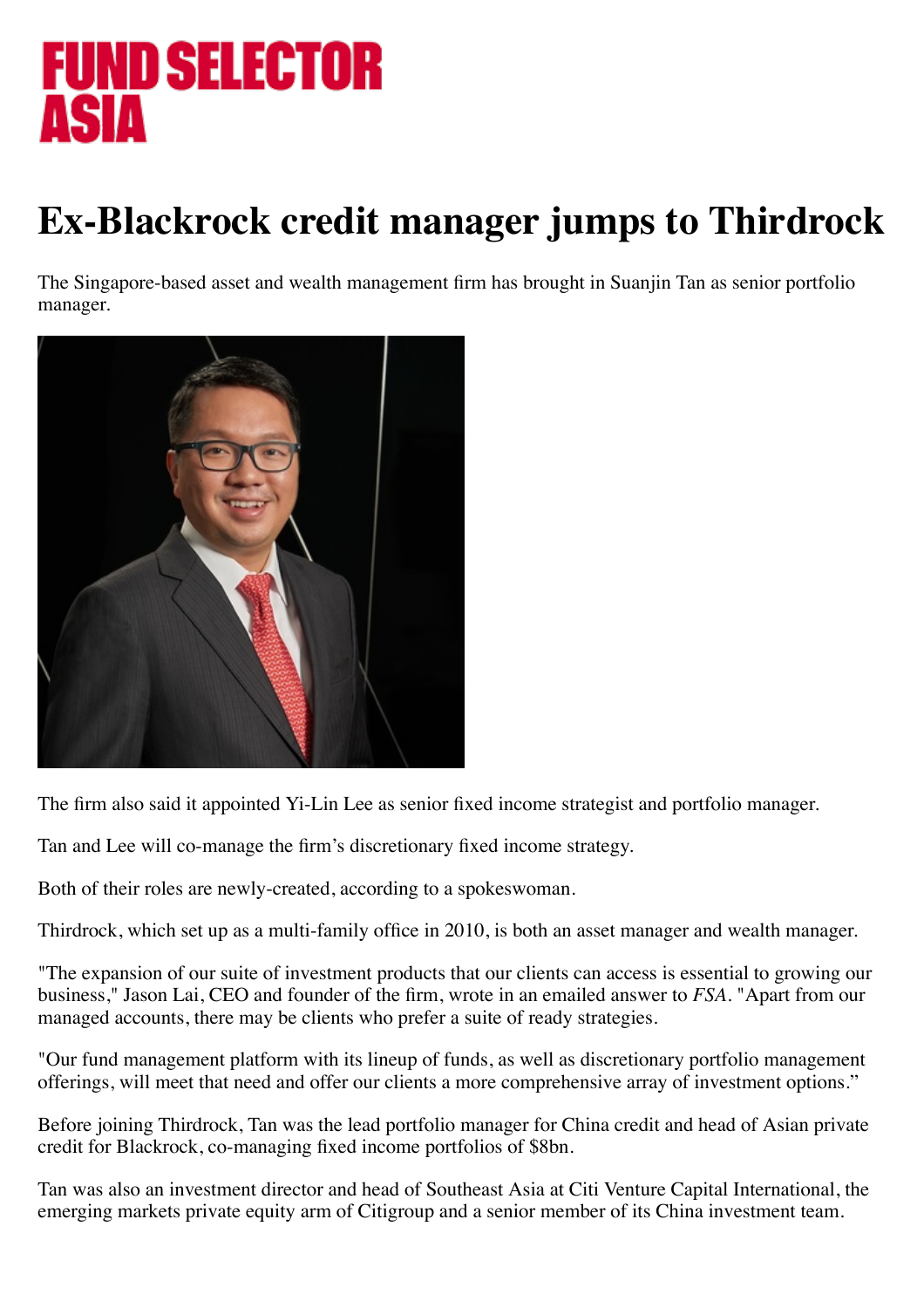## FUND SELECTOR **ASIA**

## **Ex-Blackrock credit manager jumps to Thirdrock**

The Singapore-based asset and wealth management firm has brought in Suanjin Tan as senior portfolio manager.



The firm also said it appointed Yi-Lin Lee as senior fixed income strategist and portfolio manager.

Tan and Lee will co-manage the firm's discretionary fixed income strategy.

Both of their roles are newly-created, according to a spokeswoman.

Thirdrock, which set up as a multi-family office in 2010, is both an asset manager and wealth manager.

"The expansion of our suite of investment products that our clients can access is essential to growing our business," Jason Lai, CEO and founder of the firm, wrote in an emailed answer to *FSA*. "Apart from our managed accounts, there may be clients who prefer a suite of ready strategies.

"Our fund management platform with its lineup of funds, as well as discretionary portfolio management offerings, will meet that need and offer our clients a more comprehensive array of investment options."

Before joining Thirdrock, Tan was the lead portfolio manager for China credit and head of Asian private credit for Blackrock, co-managing fixed income portfolios of \$8bn.

Tan was also an investment director and head of Southeast Asia at Citi Venture Capital International, the emerging markets private equity arm of Citigroup and a senior member of its China investment team.